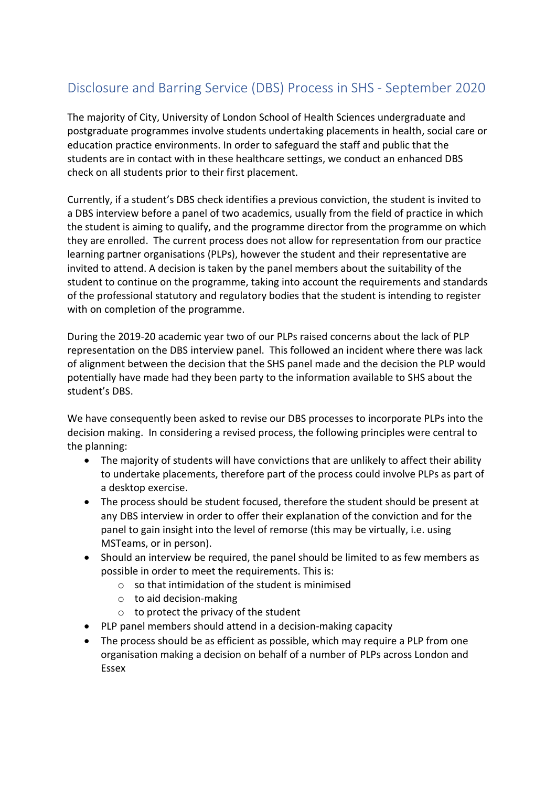## Disclosure and Barring Service (DBS) Process in SHS - September 2020

The majority of City, University of London School of Health Sciences undergraduate and postgraduate programmes involve students undertaking placements in health, social care or education practice environments. In order to safeguard the staff and public that the students are in contact with in these healthcare settings, we conduct an enhanced DBS check on all students prior to their first placement.

Currently, if a student's DBS check identifies a previous conviction, the student is invited to a DBS interview before a panel of two academics, usually from the field of practice in which the student is aiming to qualify, and the programme director from the programme on which they are enrolled. The current process does not allow for representation from our practice learning partner organisations (PLPs), however the student and their representative are invited to attend. A decision is taken by the panel members about the suitability of the student to continue on the programme, taking into account the requirements and standards of the professional statutory and regulatory bodies that the student is intending to register with on completion of the programme.

During the 2019-20 academic year two of our PLPs raised concerns about the lack of PLP representation on the DBS interview panel. This followed an incident where there was lack of alignment between the decision that the SHS panel made and the decision the PLP would potentially have made had they been party to the information available to SHS about the student's DBS.

We have consequently been asked to revise our DBS processes to incorporate PLPs into the decision making. In considering a revised process, the following principles were central to the planning:

- The majority of students will have convictions that are unlikely to affect their ability to undertake placements, therefore part of the process could involve PLPs as part of a desktop exercise.
- The process should be student focused, therefore the student should be present at any DBS interview in order to offer their explanation of the conviction and for the panel to gain insight into the level of remorse (this may be virtually, i.e. using MSTeams, or in person).
- Should an interview be required, the panel should be limited to as few members as possible in order to meet the requirements. This is:
	- $\circ$  so that intimidation of the student is minimised
	- o to aid decision-making
	- $\circ$  to protect the privacy of the student
- PLP panel members should attend in a decision-making capacity
- The process should be as efficient as possible, which may require a PLP from one organisation making a decision on behalf of a number of PLPs across London and Essex